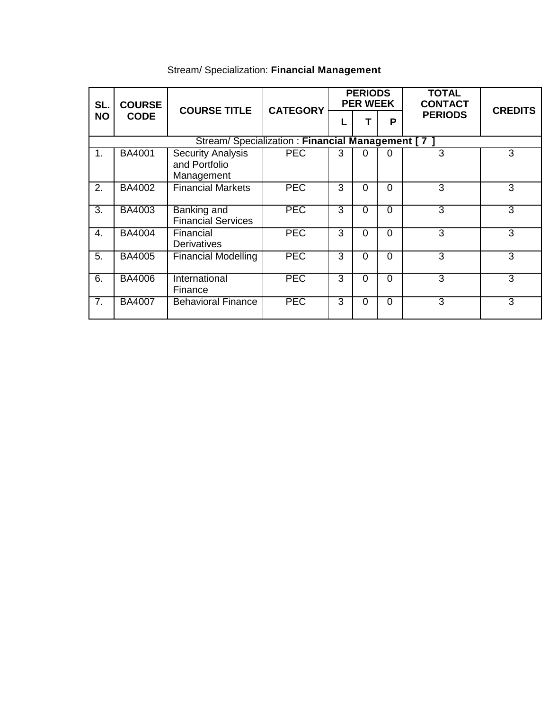| SL.<br><b>NO</b>                                 | <b>COURSE</b><br><b>CODE</b> | <b>COURSE TITLE</b>                              | <b>CATEGORY</b> | <b>PERIODS</b><br><b>PER WEEK</b> |          |          | <b>TOTAL</b><br><b>CONTACT</b> |                |  |  |  |
|--------------------------------------------------|------------------------------|--------------------------------------------------|-----------------|-----------------------------------|----------|----------|--------------------------------|----------------|--|--|--|
|                                                  |                              |                                                  |                 |                                   | Τ        | P        | <b>PERIODS</b>                 | <b>CREDITS</b> |  |  |  |
| Stream/ Specialization: Financial Management [7] |                              |                                                  |                 |                                   |          |          |                                |                |  |  |  |
| 1.                                               | BA4001                       | Security Analysis<br>and Portfolio<br>Management | <b>PEC</b>      | 3                                 | 0        | 0        | 3                              | 3              |  |  |  |
| 2.                                               | BA4002                       | <b>Financial Markets</b>                         | <b>PEC</b>      | 3                                 | $\Omega$ | $\Omega$ | 3                              | 3              |  |  |  |
| $\overline{3}$ .                                 | BA4003                       | <b>Banking and</b><br><b>Financial Services</b>  | <b>PEC</b>      | 3                                 | $\Omega$ | $\Omega$ | 3                              | 3              |  |  |  |
| 4.                                               | <b>BA4004</b>                | Financial<br>Derivatives                         | <b>PEC</b>      | 3                                 | $\Omega$ | $\Omega$ | $\overline{3}$                 | 3              |  |  |  |
| 5.                                               | <b>BA4005</b>                | <b>Financial Modelling</b>                       | <b>PEC</b>      | 3                                 | $\Omega$ | $\Omega$ | 3                              | 3              |  |  |  |
| 6.                                               | <b>BA4006</b>                | International<br>Finance                         | <b>PEC</b>      | 3                                 | $\Omega$ | $\Omega$ | 3                              | 3              |  |  |  |
| $\overline{7}$ .                                 | <b>BA4007</b>                | <b>Behavioral Finance</b>                        | <b>PEC</b>      | 3                                 | $\Omega$ | $\Omega$ | $\overline{3}$                 | 3              |  |  |  |

## Stream/ Specialization: **Financial Management**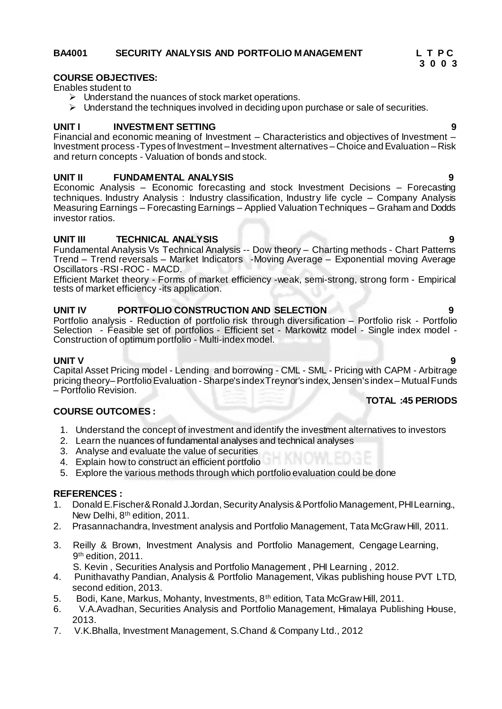# BA4001 SECURITY ANALYSIS AND PORTFOLIO MANAGEMENT L T P C<br>3 0 0 3

#### **COURSE OBJECTIVES:**

Enables student to

- $\triangleright$  Understand the nuances of stock market operations.
- $\triangleright$  Understand the techniques involved in deciding upon purchase or sale of securities.

 **3 0 0 3**

#### **UNIT I INVESTMENT SETTING 9**

Financial and economic meaning of Investment – Characteristics and objectives of Investment – Investment process -Types of Investment – Investment alternatives – Choice and Evaluation – Risk and return concepts - Valuation of bonds and stock.

#### **UNIT II FUNDAMENTAL ANALYSIS 9**

Economic Analysis – Economic forecasting and stock Investment Decisions – Forecasting techniques. Industry Analysis : Industry classification, Industry life cycle – Company Analysis Measuring Earnings – Forecasting Earnings – Applied Valuation Techniques – Graham and Dodds investor ratios.

#### **UNIT III TECHNICAL ANALYSIS 9**

Fundamental Analysis Vs Technical Analysis -- Dow theory – Charting methods - Chart Patterns Trend – Trend reversals – Market Indicators -Moving Average – Exponential moving Average Oscillators -RSI -ROC - MACD.

Efficient Market theory - Forms of market efficiency -weak, semi-strong, strong form - Empirical tests of market efficiency -its application.

#### **UNIT IV PORTFOLIO CONSTRUCTION AND SELECTION 9**

Portfolio analysis - Reduction of portfolio risk through diversification – Portfolio risk - Portfolio Selection - Feasible set of portfolios - Efficient set - Markowitz model - Single index model - Construction of optimum portfolio - Multi-index model.

**UNIT V 9** Capital Asset Pricing model - Lending and borrowing - CML - SML - Pricing with CAPM - Arbitrage pricing theory–Portfolio Evaluation - Sharpe's index Treynor's index, Jensen's index – Mutual Funds – Portfolio Revision.

#### **COURSE OUTCOMES :**

- 1. Understand the concept of investment and identify the investment alternatives to investors
- 2. Learn the nuances of fundamental analyses and technical analyses
- 3. Analyse and evaluate the value of securities
- 4. Explain how to construct an efficient portfolio
- 5. Explore the various methods through which portfolio evaluation could be done

#### **REFERENCES :**

- 1. Donald E.Fischer& Ronald J.Jordan, Security Analysis & Portfolio Management, PHI Learning., New Delhi, 8th edition, 2011.
- 2. Prasannachandra, Investment analysis and Portfolio Management, Tata McGraw Hill, 2011.
- 3. Reilly & Brown, Investment Analysis and Portfolio Management, Cengage Learning, 9<sup>th</sup> edition, 2011.

S. Kevin , Securities Analysis and Portfolio Management , PHI Learning , 2012.

- 4. Punithavathy Pandian, Analysis & Portfolio Management, Vikas publishing house PVT LTD, second edition, 2013.
- 5. Bodi, Kane, Markus, Mohanty, Investments, 8th edition, Tata McGraw Hill, 2011.
- 6. V.A.Avadhan, Securities Analysis and Portfolio Management, Himalaya Publishing House, 2013.
- 7. V.K.Bhalla, Investment Management, S.Chand & Company Ltd., 2012

**TOTAL :45 PERIODS**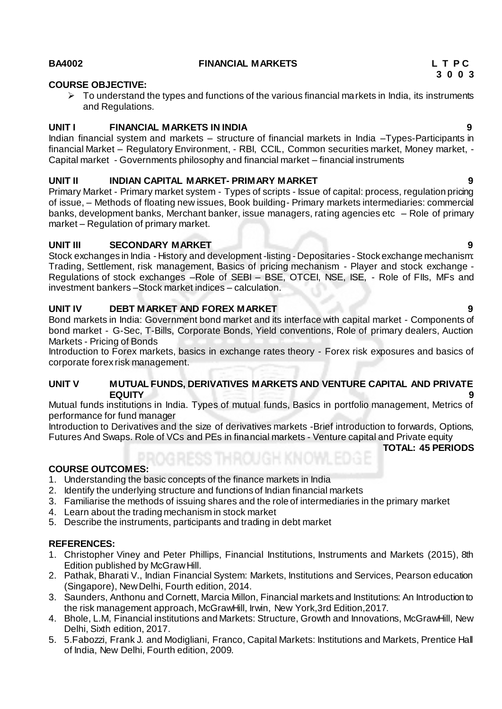#### **BA4002 FINANCIAL MARKETS L T P C**

#### **COURSE OBJECTIVE:**

 $\triangleright$  To understand the types and functions of the various financial markets in India, its instruments and Regulations.

#### **UNIT I FINANCIAL MARKETS IN INDIA 9**

Indian financial system and markets – structure of financial markets in India –Types-Participants in financial Market – Regulatory Environment, - RBI, CCIL, Common securities market, Money market, -Capital market - Governments philosophy and financial market – financial instruments

#### **UNIT II INDIAN CAPITAL MARKET- PRIMARY MARKET 9**

Primary Market - Primary market system - Types of scripts - Issue of capital: process, regulation pricing of issue, – Methods of floating new issues, Book building- Primary markets intermediaries: commercial banks, development banks, Merchant banker, issue managers, rating agencies etc – Role of primary market – Regulation of primary market.

#### **UNIT III SECONDARY MARKET 9**

Stock exchanges in India - History and development -listing - Depositaries - Stock exchange mechanism: Trading, Settlement, risk management, Basics of pricing mechanism - Player and stock exchange - Regulations of stock exchanges –Role of SEBI – BSE, OTCEI, NSE, ISE, - Role of FIIs, MFs and investment bankers –Stock market indices – calculation.

#### **UNIT IV DEBT MARKET AND FOREX MARKET 9**

Bond markets in India: Government bond market and its interface with capital market - Components of bond market - G-Sec, T-Bills, Corporate Bonds, Yield conventions, Role of primary dealers, Auction Markets - Pricing of Bonds

Introduction to Forex markets, basics in exchange rates theory - Forex risk exposures and basics of corporate forex risk management.

#### **UNIT V MUTUAL FUNDS, DERIVATIVES MARKETS AND VENTURE CAPITAL AND PRIVATE EQUITY 9**

Mutual funds institutions in India. Types of mutual funds, Basics in portfolio management, Metrics of performance for fund manager

Introduction to Derivatives and the size of derivatives markets -Brief introduction to forwards, Options, Futures And Swaps. Role of VCs and PEs in financial markets - Venture capital and Private equity

**TOTAL: 45 PERIODS**

### **COURSE OUTCOMES:**

- 1. Understanding the basic concepts of the finance markets in India
- 2. Identify the underlying structure and functions of Indian financial markets
- 3. Familiarise the methods of issuing shares and the role of intermediaries in the primary market
- 4. Learn about the trading mechanism in stock market
- 5. Describe the instruments, participants and trading in debt market

#### **REFERENCES:**

- 1. Christopher Viney and Peter Phillips, Financial Institutions, Instruments and Markets (2015), 8th Edition published by McGraw Hill.
- 2. Pathak, Bharati V., Indian Financial System: Markets, Institutions and Services, Pearson education (Singapore), New Delhi, Fourth edition, 2014.
- 3. Saunders, Anthonu and Cornett, Marcia Millon, Financial markets and Institutions: An Introduction to the risk management approach, McGrawHill, Irwin, New York,3rd Edition,2017.
- 4. Bhole, L.M, Financial institutions and Markets: Structure, Growth and Innovations, McGrawHill, New Delhi, Sixth edition, 2017.
- 5. 5.Fabozzi, Frank J. and Modigliani, Franco, Capital Markets: Institutions and Markets, Prentice Hall of India, New Delhi, Fourth edition, 2009.

 **3 0 0 3**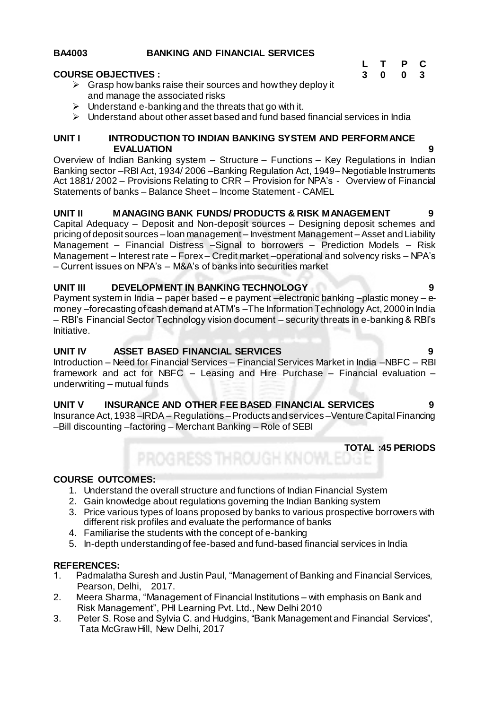### **BA4003 BANKING AND FINANCIAL SERVICES**

#### **COURSE OBJECTIVES :**

- $\triangleright$  Grasp how banks raise their sources and how they deploy it and manage the associated risks
- $\triangleright$  Understand e-banking and the threats that go with it.
- $\triangleright$  Understand about other asset based and fund based financial services in India

#### **UNIT I INTRODUCTION TO INDIAN BANKING SYSTEM AND PERFORMANCE EVALUATION 9**

Overview of Indian Banking system – Structure – Functions – Key Regulations in Indian Banking sector –RBI Act, 1934/ 2006 –Banking Regulation Act, 1949– Negotiable Instruments Act 1881/ 2002 – Provisions Relating to CRR – Provision for NPA's - Overview of Financial Statements of banks – Balance Sheet – Income Statement - CAMEL

#### **UNIT II MANAGING BANK FUNDS/ PRODUCTS & RISK MANAGEMENT 9**

Capital Adequacy – Deposit and Non-deposit sources – Designing deposit schemes and pricing of deposit sources – loan management – Investment Management –Asset and Liability Management – Financial Distress –Signal to borrowers – Prediction Models – Risk Management – Interest rate – Forex – Credit market –operational and solvency risks – NPA's – Current issues on NPA's – M&A's of banks into securities market

#### **UNIT III DEVELOPMENT IN BANKING TECHNOLOGY 9 9**

Payment system in India – paper based – e payment –electronic banking –plastic money – emoney –forecasting of cash demand at ATM's –The Information Technology Act, 2000 in India – RBI's Financial Sector Technology vision document – security threats in e-banking & RBI's Initiative.

### **UNIT IV ASSET BASED FINANCIAL SERVICES 9**

Introduction – Need for Financial Services – Financial Services Market in India –NBFC – RBI framework and act for NBFC – Leasing and Hire Purchase – Financial evaluation – underwriting – mutual funds

### **UNIT V INSURANCE AND OTHER FEE BASED FINANCIAL SERVICES 9**

Insurance Act, 1938 – IRDA – Regulations – Products and services – Venture Capital Financing –Bill discounting –factoring – Merchant Banking – Role of SEBI

**TOTAL :45 PERIODS**

#### **COURSE OUTCOMES:**

- 1. Understand the overall structure and functions of Indian Financial System
- 2. Gain knowledge about regulations governing the Indian Banking system
- 3. Price various types of loans proposed by banks to various prospective borrowers with different risk profiles and evaluate the performance of banks
- 4. Familiarise the students with the concept of e-banking
- 5. In-depth understanding of fee-based and fund-based financial services in India

#### **REFERENCES:**

- 1. Padmalatha Suresh and Justin Paul, "Management of Banking and Financial Services, Pearson, Delhi, 2017.
- 2. Meera Sharma, "Management of Financial Institutions with emphasis on Bank and Risk Management", PHI Learning Pvt. Ltd., New Delhi 2010
- 3. Peter S. Rose and Sylvia C. and Hudgins, "Bank Management and Financial Services", Tata McGraw Hill, New Delhi, 2017

#### **L T P C 3 0 0 3**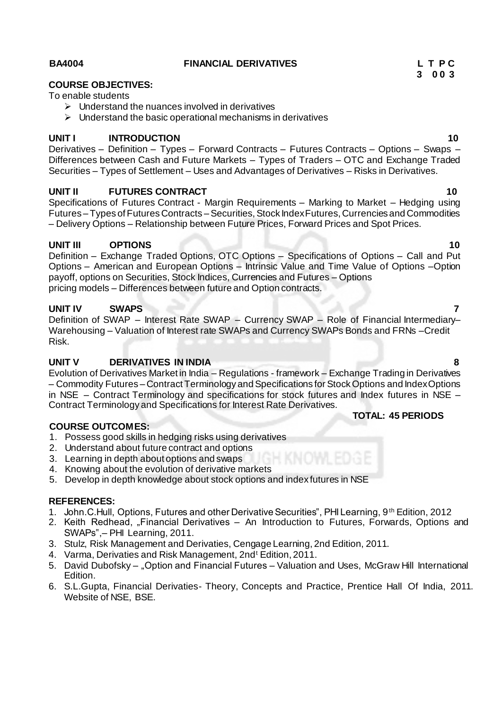#### **BA4004 FINANCIAL DERIVATIVES L T P C**

## **COURSE OBJECTIVES:**

To enable students

- $\triangleright$  Understand the nuances involved in derivatives
- $\triangleright$  Understand the basic operational mechanisms in derivatives

### **UNIT I INTRODUCTION 10**

Derivatives – Definition – Types – Forward Contracts – Futures Contracts – Options – Swaps – Differences between Cash and Future Markets – Types of Traders – OTC and Exchange Traded Securities – Types of Settlement – Uses and Advantages of Derivatives – Risks in Derivatives.

#### **UNIT II FUTURES CONTRACT 10**

Specifications of Futures Contract - Margin Requirements – Marking to Market – Hedging using Futures – Types of Futures Contracts – Securities, Stock Index Futures, Currencies and Commodities – Delivery Options – Relationship between Future Prices, Forward Prices and Spot Prices.

#### **UNIT III OPTIONS 10**

Definition – Exchange Traded Options, OTC Options – Specifications of Options – Call and Put Options – American and European Options – Intrinsic Value and Time Value of Options –Option payoff, options on Securities, Stock Indices, Currencies and Futures – Options pricing models – Differences between future and Option contracts.

#### **UNIT IV SWAPS 7**

Definition of SWAP – Interest Rate SWAP – Currency SWAP – Role of Financial Intermediary– Warehousing – Valuation of Interest rate SWAPs and Currency SWAPs Bonds and FRNs –Credit Risk.

### **UNIT V DERIVATIVES IN INDIA 8**

Evolution of Derivatives Market in India – Regulations - framework – Exchange Trading in Derivatives – Commodity Futures – Contract Terminology and Specifications for Stock Options and Index Options in NSE – Contract Terminology and specifications for stock futures and Index futures in NSE – Contract Terminology and Specifications for Interest Rate Derivatives.

#### **COURSE OUTCOMES:**

- 1. Possess good skills in hedging risks using derivatives
- 2. Understand about future contract and options
- 3. Learning in depth about options and swaps
- 4. Knowing about the evolution of derivative markets
- 5. Develop in depth knowledge about stock options and index futures in NSE

#### **REFERENCES:**

- 1. John.C.Hull, Options, Futures and other Derivative Securities", PHI Learning, 9th Edition, 2012
- 2. Keith Redhead, "Financial Derivatives An Introduction to Futures, Forwards, Options and SWAPs",– PHI Learning, 2011.
- 3. Stulz, Risk Management and Derivaties, Cengage Learning, 2nd Edition, 2011.
- 4. Varma, Derivaties and Risk Management, 2nd<sup>t</sup> Edition, 2011.
- 5. David Dubofsky "Option and Financial Futures Valuation and Uses, McGraw Hill International Edition.
- 6. S.L.Gupta, Financial Derivaties- Theory, Concepts and Practice, Prentice Hall Of India, 2011. Website of NSE, BSE.

**3 0 0 3**

## **TOTAL: 45 PERIODS**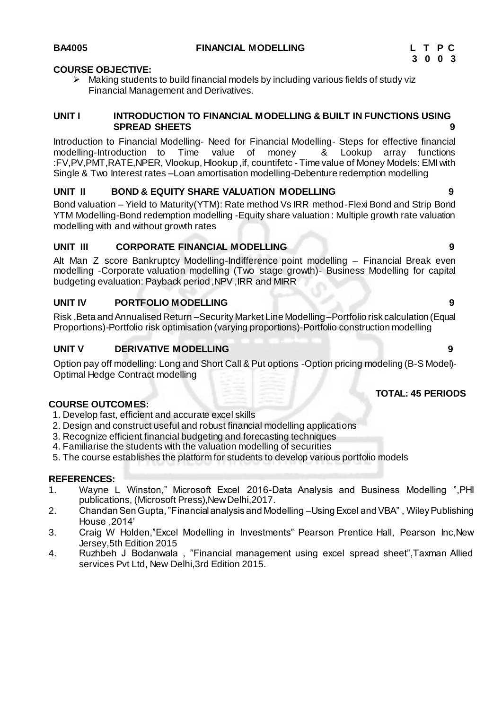## **COURSE OBJECTIVE:**

 $\triangleright$  Making students to build financial models by including various fields of study viz Financial Management and Derivatives.

### **UNIT I INTRODUCTION TO FINANCIAL MODELLING & BUILT IN FUNCTIONS USING SPREAD SHEETS 9**

Introduction to Financial Modelling- Need for Financial Modelling- Steps for effective financial modelling-Introduction to Time value of money & Lookup array functions :FV,PV,PMT,RATE,NPER, Vlookup, Hlookup ,if, countifetc - Time value of Money Models: EMI with Single & Two Interest rates –Loan amortisation modelling-Debenture redemption modelling

## **UNIT II BOND & EQUITY SHARE VALUATION MODELLING 9**

Bond valuation – Yield to Maturity(YTM): Rate method Vs IRR method-Flexi Bond and Strip Bond YTM Modelling-Bond redemption modelling -Equity share valuation : Multiple growth rate valuation modelling with and without growth rates

## **UNIT III CORPORATE FINANCIAL MODELLING 9**

Alt Man Z score Bankruptcy Modelling-Indifference point modelling – Financial Break even modelling -Corporate valuation modelling (Two stage growth)- Business Modelling for capital budgeting evaluation: Payback period ,NPV ,IRR and MIRR

## **UNIT IV PORTFOLIO MODELLING 9**

Risk ,Beta and Annualised Return –Security Market Line Modelling –Portfolio risk calculation (Equal Proportions)-Portfolio risk optimisation (varying proportions)-Portfolio construction modelling

## **UNIT V DERIVATIVE MODELLING 9**

Option pay off modelling: Long and Short Call & Put options -Option pricing modeling (B-S Model)- Optimal Hedge Contract modelling

## **TOTAL: 45 PERIODS**

## **COURSE OUTCOMES:**

- 1. Develop fast, efficient and accurate excel skills
- 2. Design and construct useful and robust financial modelling applications
- 3. Recognize efficient financial budgeting and forecasting techniques
- 4. Familiarise the students with the valuation modelling of securities
- 5. The course establishes the platform for students to develop various portfolio models

## **REFERENCES:**

- 1. Wayne L Winston," Microsoft Excel 2016-Data Analysis and Business Modelling ",PHI publications, (Microsoft Press),New Delhi,2017.
- 2. Chandan Sen Gupta, "Financial analysis and Modelling –Using Excel and VBA" , Wiley Publishing House ,2014'
- 3. Craig W Holden,"Excel Modelling in Investments" Pearson Prentice Hall, Pearson Inc,New Jersey,5th Edition 2015
- 4. Ruzhbeh J Bodanwala , "Financial management using excel spread sheet",Taxman Allied services Pvt Ltd, New Delhi,3rd Edition 2015.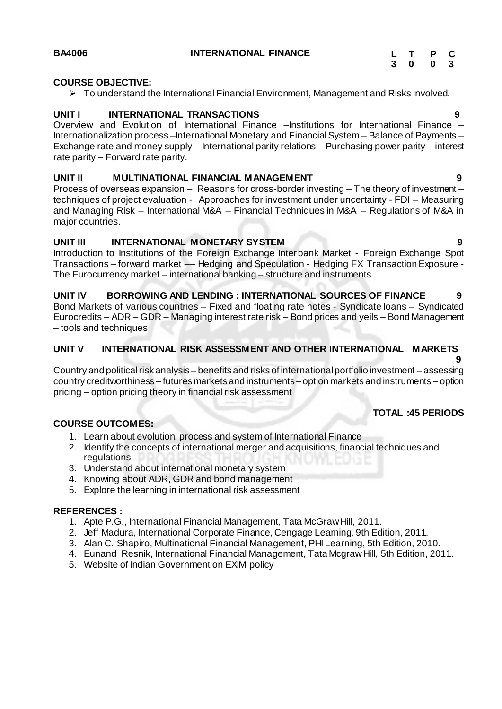### **COURSE OBJECTIVE:**

To understand the International Financial Environment, Management and Risks involved.

#### **UNIT I INTERNATIONAL TRANSACTIONS 9**

Overview and Evolution of International Finance –Institutions for International Finance – Internationalization process –International Monetary and Financial System – Balance of Payments – Exchange rate and money supply – International parity relations – Purchasing power parity – interest rate parity – Forward rate parity.

#### **UNIT II MULTINATIONAL FINANCIAL MANAGEMENT 9**

Process of overseas expansion – Reasons for cross-border investing – The theory of investment – techniques of project evaluation - Approaches for investment under uncertainty - FDI – Measuring and Managing Risk – International M&A – Financial Techniques in M&A – Regulations of M&A in major countries.

#### **UNIT III INTERNATIONAL MONETARY SYSTEM 9**

Introduction to Institutions of the Foreign Exchange Interbank Market - Foreign Exchange Spot Transactions – forward market –– Hedging and Speculation - Hedging FX Transaction Exposure - The Eurocurrency market – international banking – structure and instruments

**UNIT IV BORROWING AND LENDING : INTERNATIONAL SOURCES OF FINANCE 9** Bond Markets of various countries – Fixed and floating rate notes - Syndicate loans – Syndicated Eurocredits – ADR – GDR – Managing interest rate risk – Bond prices and yeils – Bond Management – tools and techniques

### **UNIT V INTERNATIONAL RISK ASSESSMENT AND OTHER INTERNATIONAL MARKETS**

 **9** Country and political risk analysis – benefits and risks of international portfolio investment – assessing country creditworthiness – futures markets and instruments – option markets and instruments – option pricing – option pricing theory in financial risk assessment

## **TOTAL :45 PERIODS**

### **COURSE OUTCOMES:**

- 1. Learn about evolution, process and system of International Finance
- 2. Identify the concepts of international merger and acquisitions, financial techniques and regulations
- 3. Understand about international monetary system
- 4. Knowing about ADR, GDR and bond management
- 5. Explore the learning in international risk assessment

#### **REFERENCES :**

- 1. Apte P.G., International Financial Management, Tata McGraw Hill, 2011.
- 2. Jeff Madura, International Corporate Finance, Cengage Learning, 9th Edition, 2011.
- 3. Alan C. Shapiro, Multinational Financial Management, PHI Learning, 5th Edition, 2010.
- 4. Eunand Resnik, International Financial Management, Tata Mcgraw Hill, 5th Edition, 2011.
- 5. Website of Indian Government on EXIM policy